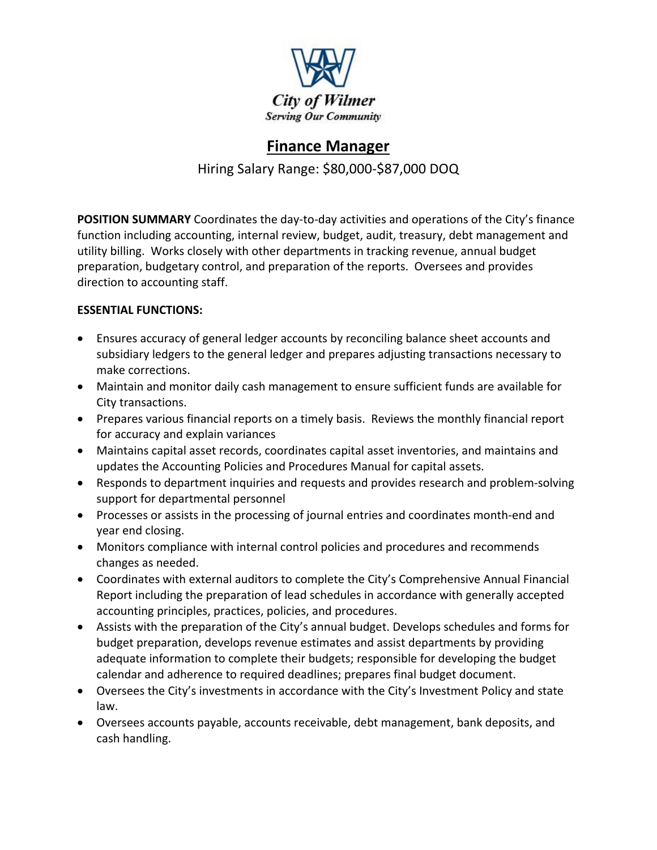

## **Finance Manager**

Hiring Salary Range: \$80,000-\$87,000 DOQ

**POSITION SUMMARY** Coordinates the day-to-day activities and operations of the City's finance function including accounting, internal review, budget, audit, treasury, debt management and utility billing. Works closely with other departments in tracking revenue, annual budget preparation, budgetary control, and preparation of the reports. Oversees and provides direction to accounting staff.

## **ESSENTIAL FUNCTIONS:**

- Ensures accuracy of general ledger accounts by reconciling balance sheet accounts and subsidiary ledgers to the general ledger and prepares adjusting transactions necessary to make corrections.
- Maintain and monitor daily cash management to ensure sufficient funds are available for City transactions.
- Prepares various financial reports on a timely basis. Reviews the monthly financial report for accuracy and explain variances
- Maintains capital asset records, coordinates capital asset inventories, and maintains and updates the Accounting Policies and Procedures Manual for capital assets.
- Responds to department inquiries and requests and provides research and problem-solving support for departmental personnel
- Processes or assists in the processing of journal entries and coordinates month-end and year end closing.
- Monitors compliance with internal control policies and procedures and recommends changes as needed.
- Coordinates with external auditors to complete the City's Comprehensive Annual Financial Report including the preparation of lead schedules in accordance with generally accepted accounting principles, practices, policies, and procedures.
- Assists with the preparation of the City's annual budget. Develops schedules and forms for budget preparation, develops revenue estimates and assist departments by providing adequate information to complete their budgets; responsible for developing the budget calendar and adherence to required deadlines; prepares final budget document.
- Oversees the City's investments in accordance with the City's Investment Policy and state law.
- Oversees accounts payable, accounts receivable, debt management, bank deposits, and cash handling.